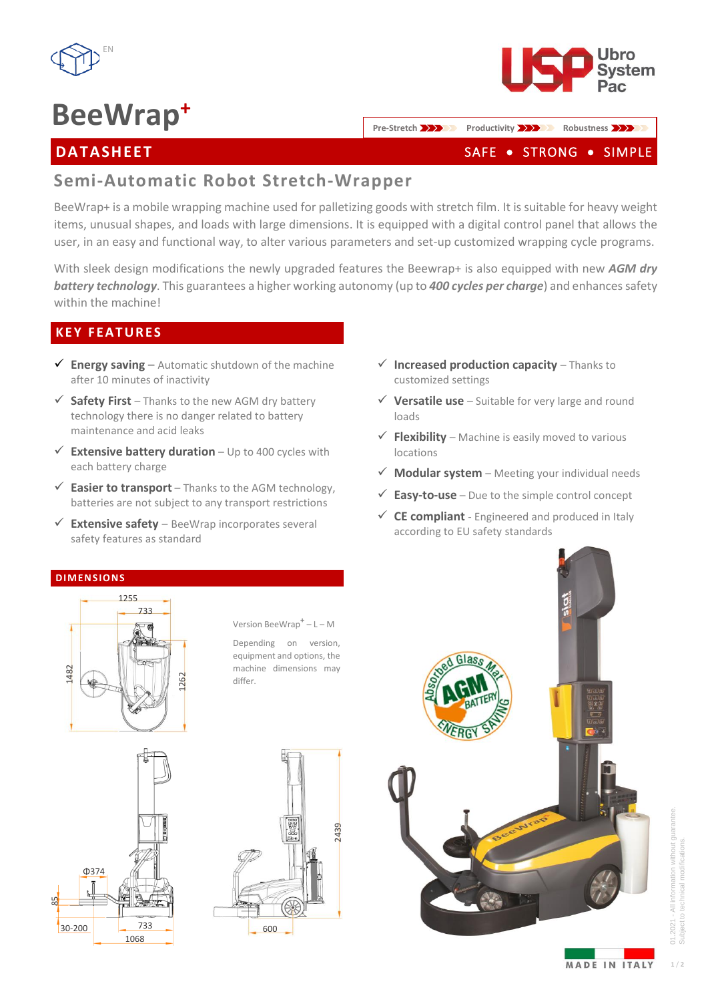

# **BeeWrap<sup>+</sup>**



### **DATASHEET**

**Pre-Stretch <b>Productivity Productivity Robustness** 

### SAFE . STRONG . SIMPLE

# **Semi-Automatic Robot Stretch-Wrapper**

BeeWrap+ is a mobile wrapping machine used for palletizing goods with stretch film. It is suitable for heavy weight items, unusual shapes, and loads with large dimensions. It is equipped with a digital control panel that allows the user, in an easy and functional way, to alter various parameters and set-up customized wrapping cycle programs.

With sleek design modifications the newly upgraded features the Beewrap+ is also equipped with new *AGM dry*  **battery** *technology*. This guarantees a higher working autonomy (up to 400 cycles per charge) and enhances safety within the machine!

#### **K E Y F E A T U R E S**

- $\checkmark$  **Energy saving** Automatic shutdown of the machine after 10 minutes of inactivity
- $\checkmark$  **Safety First** Thanks to the new AGM dry battery technology there is no danger related to battery maintenance and acid leaks
- ✓ **Extensive battery duration**  Up to 400 cycles with each battery charge
- $\checkmark$  **Easier to transport** Thanks to the AGM technology, batteries are not subject to any transport restrictions
- $\checkmark$  **Extensive safety** BeeWrap incorporates several safety features as standard
- ✓ **Increased production capacity**  Thanks to customized settings
- $\checkmark$  Versatile use Suitable for very large and round loads
- $\checkmark$  **Flexibility** Machine is easily moved to various locations
- $\checkmark$  **Modular system** Meeting your individual needs
- **Easy-to-use** Due to the simple control concept
- ✓ **CE compliant**  Engineered and produced in Italy according to EU safety standards

# 1482 1262 733

**independent tension state of the state of the state of the state of the state of the state of the state of the state of the state of the state of the state of the state of the state of the state of the state of the state** 

1255

Version BeeWrap**<sup>+</sup>** – L – M

Depending on version, equipment and options, the machine dimensions may differ.